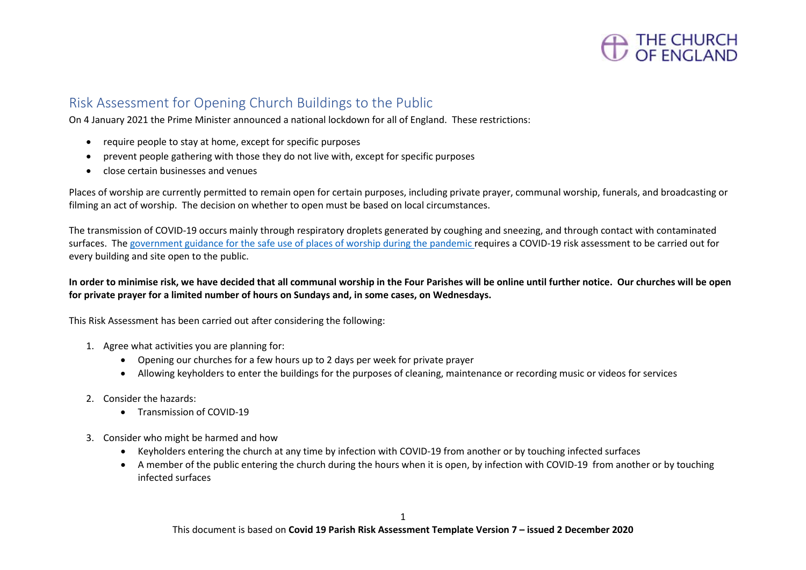

#### Risk Assessment for Opening Church Buildings to the Public

On 4 January 2021 the Prime Minister announced a national lockdown for all of England. These restrictions:

- require people to stay at home, except for specific purposes
- prevent people gathering with those they do not live with, except for specific purposes
- close certain businesses and venues

Places of worship are currently permitted to remain open for certain purposes, including private prayer, communal worship, funerals, and broadcasting or filming an act of worship. The decision on whether to open must be based on local circumstances.

The transmission of COVID-19 occurs mainly through respiratory droplets generated by coughing and sneezing, and through contact with contaminated surfaces. The [government guidance for the safe use of places of worship during the pandemic](https://www.gov.uk/government/publications/covid-19-guidance-for-the-safe-use-of-places-of-worship-during-the-pandemic/covid-19-guidance-for-the-safe-use-of-places-of-worship-during-the-pandemic) requires a COVID-19 risk assessment to be carried out for every building and site open to the public.

#### **In order to minimise risk, we have decided that all communal worship in the Four Parishes will be online until further notice. Our churches will be open for private prayer for a limited number of hours on Sundays and, in some cases, on Wednesdays.**

This Risk Assessment has been carried out after considering the following:

- 1. Agree what activities you are planning for:
	- Opening our churches for a few hours up to 2 days per week for private prayer
	- Allowing keyholders to enter the buildings for the purposes of cleaning, maintenance or recording music or videos for services
- 2. Consider the hazards:
	- Transmission of COVID-19
- 3. Consider who might be harmed and how
	- Keyholders entering the church at any time by infection with COVID-19 from another or by touching infected surfaces
	- A member of the public entering the church during the hours when it is open, by infection with COVID-19 from another or by touching infected surfaces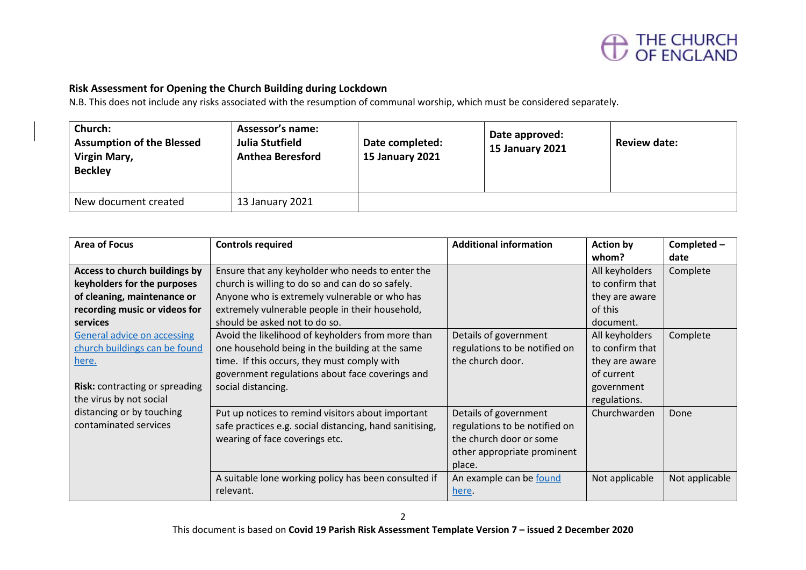

#### **Risk Assessment for Opening the Church Building during Lockdown**

N.B. This does not include any risks associated with the resumption of communal worship, which must be considered separately.

| Church:<br><b>Assumption of the Blessed</b><br>Virgin Mary,<br><b>Beckley</b> | Assessor's name:<br>Julia Stutfield<br><b>Anthea Beresford</b> | Date completed:<br><b>15 January 2021</b> | Date approved:<br><b>15 January 2021</b> | <b>Review date:</b> |
|-------------------------------------------------------------------------------|----------------------------------------------------------------|-------------------------------------------|------------------------------------------|---------------------|
| New document created                                                          | 13 January 2021                                                |                                           |                                          |                     |

| <b>Area of Focus</b>                  | <b>Controls required</b>                                | <b>Additional information</b> | <b>Action by</b> | Completed-     |
|---------------------------------------|---------------------------------------------------------|-------------------------------|------------------|----------------|
|                                       |                                                         |                               | whom?            | date           |
| Access to church buildings by         | Ensure that any keyholder who needs to enter the        |                               | All keyholders   | Complete       |
| keyholders for the purposes           | church is willing to do so and can do so safely.        |                               | to confirm that  |                |
| of cleaning, maintenance or           | Anyone who is extremely vulnerable or who has           |                               | they are aware   |                |
| recording music or videos for         | extremely vulnerable people in their household,         |                               | of this          |                |
| <b>services</b>                       | should be asked not to do so.                           |                               | document.        |                |
| <b>General advice on accessing</b>    | Avoid the likelihood of keyholders from more than       | Details of government         | All keyholders   | Complete       |
| church buildings can be found         | one household being in the building at the same         | regulations to be notified on | to confirm that  |                |
| here.                                 | time. If this occurs, they must comply with             | the church door.              | they are aware   |                |
|                                       | government regulations about face coverings and         |                               | of current       |                |
| <b>Risk:</b> contracting or spreading | social distancing.                                      |                               | government       |                |
| the virus by not social               |                                                         |                               | regulations.     |                |
| distancing or by touching             | Put up notices to remind visitors about important       | Details of government         | Churchwarden     | Done           |
| contaminated services                 | safe practices e.g. social distancing, hand sanitising, | regulations to be notified on |                  |                |
|                                       | wearing of face coverings etc.                          | the church door or some       |                  |                |
|                                       |                                                         | other appropriate prominent   |                  |                |
|                                       |                                                         | place.                        |                  |                |
|                                       | A suitable lone working policy has been consulted if    | An example can be found       | Not applicable   | Not applicable |
|                                       | relevant.                                               | here.                         |                  |                |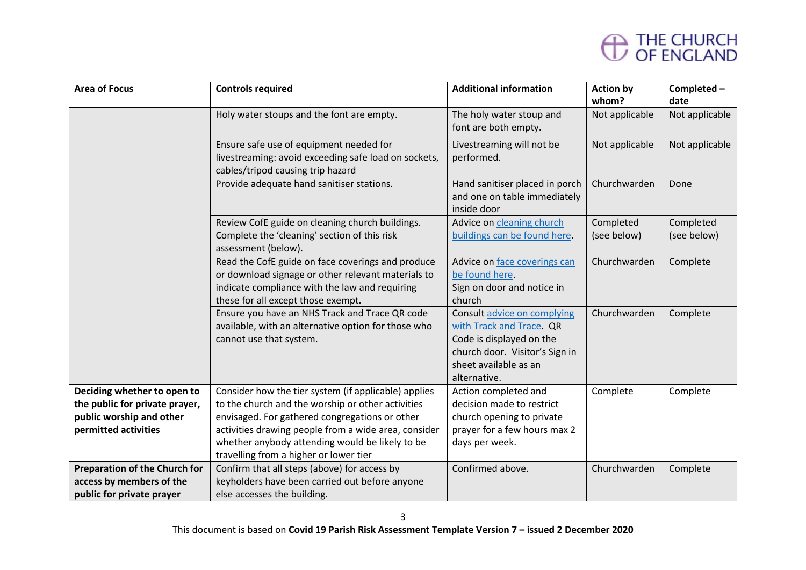| <b>Area of Focus</b>                                                                                              | <b>Controls required</b>                                                                                                                                                                                                                                                                                         | <b>Additional information</b>                                                                                                                                  | <b>Action by</b><br>whom? | Completed -<br>date      |
|-------------------------------------------------------------------------------------------------------------------|------------------------------------------------------------------------------------------------------------------------------------------------------------------------------------------------------------------------------------------------------------------------------------------------------------------|----------------------------------------------------------------------------------------------------------------------------------------------------------------|---------------------------|--------------------------|
|                                                                                                                   | Holy water stoups and the font are empty.                                                                                                                                                                                                                                                                        | The holy water stoup and<br>font are both empty.                                                                                                               | Not applicable            | Not applicable           |
|                                                                                                                   | Ensure safe use of equipment needed for<br>livestreaming: avoid exceeding safe load on sockets,<br>cables/tripod causing trip hazard                                                                                                                                                                             | Livestreaming will not be<br>performed.                                                                                                                        | Not applicable            | Not applicable           |
|                                                                                                                   | Provide adequate hand sanitiser stations.                                                                                                                                                                                                                                                                        | Hand sanitiser placed in porch<br>and one on table immediately<br>inside door                                                                                  | Churchwarden              | Done                     |
|                                                                                                                   | Review CofE guide on cleaning church buildings.<br>Complete the 'cleaning' section of this risk<br>assessment (below).                                                                                                                                                                                           | Advice on cleaning church<br>buildings can be found here.                                                                                                      | Completed<br>(see below)  | Completed<br>(see below) |
|                                                                                                                   | Read the CofE guide on face coverings and produce<br>or download signage or other relevant materials to<br>indicate compliance with the law and requiring<br>these for all except those exempt.                                                                                                                  | Advice on face coverings can<br>be found here.<br>Sign on door and notice in<br>church                                                                         | Churchwarden              | Complete                 |
|                                                                                                                   | Ensure you have an NHS Track and Trace QR code<br>available, with an alternative option for those who<br>cannot use that system.                                                                                                                                                                                 | Consult advice on complying<br>with Track and Trace. QR<br>Code is displayed on the<br>church door. Visitor's Sign in<br>sheet available as an<br>alternative. | Churchwarden              | Complete                 |
| Deciding whether to open to<br>the public for private prayer,<br>public worship and other<br>permitted activities | Consider how the tier system (if applicable) applies<br>to the church and the worship or other activities<br>envisaged. For gathered congregations or other<br>activities drawing people from a wide area, consider<br>whether anybody attending would be likely to be<br>travelling from a higher or lower tier | Action completed and<br>decision made to restrict<br>church opening to private<br>prayer for a few hours max 2<br>days per week.                               | Complete                  | Complete                 |
| <b>Preparation of the Church for</b><br>access by members of the<br>public for private prayer                     | Confirm that all steps (above) for access by<br>keyholders have been carried out before anyone<br>else accesses the building.                                                                                                                                                                                    | Confirmed above.                                                                                                                                               | Churchwarden              | Complete                 |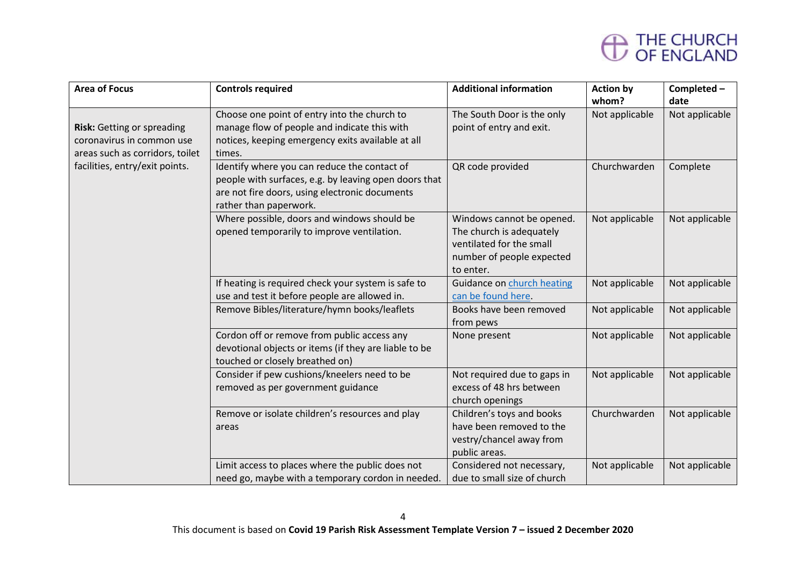| <b>Area of Focus</b>                                                                       | <b>Controls required</b>                                                                                                                                                          | <b>Additional information</b>                                                                                               | <b>Action by</b><br>whom? | Completed-<br>date |
|--------------------------------------------------------------------------------------------|-----------------------------------------------------------------------------------------------------------------------------------------------------------------------------------|-----------------------------------------------------------------------------------------------------------------------------|---------------------------|--------------------|
| Risk: Getting or spreading<br>coronavirus in common use<br>areas such as corridors, toilet | Choose one point of entry into the church to<br>manage flow of people and indicate this with<br>notices, keeping emergency exits available at all<br>times.                       | The South Door is the only<br>point of entry and exit.                                                                      | Not applicable            | Not applicable     |
| facilities, entry/exit points.                                                             | Identify where you can reduce the contact of<br>people with surfaces, e.g. by leaving open doors that<br>are not fire doors, using electronic documents<br>rather than paperwork. | QR code provided                                                                                                            | Churchwarden              | Complete           |
|                                                                                            | Where possible, doors and windows should be<br>opened temporarily to improve ventilation.                                                                                         | Windows cannot be opened.<br>The church is adequately<br>ventilated for the small<br>number of people expected<br>to enter. | Not applicable            | Not applicable     |
|                                                                                            | If heating is required check your system is safe to<br>use and test it before people are allowed in.                                                                              | Guidance on church heating<br>can be found here.                                                                            | Not applicable            | Not applicable     |
|                                                                                            | Remove Bibles/literature/hymn books/leaflets                                                                                                                                      | Books have been removed<br>from pews                                                                                        | Not applicable            | Not applicable     |
|                                                                                            | Cordon off or remove from public access any<br>devotional objects or items (if they are liable to be<br>touched or closely breathed on)                                           | None present                                                                                                                | Not applicable            | Not applicable     |
|                                                                                            | Consider if pew cushions/kneelers need to be<br>removed as per government guidance                                                                                                | Not required due to gaps in<br>excess of 48 hrs between<br>church openings                                                  | Not applicable            | Not applicable     |
|                                                                                            | Remove or isolate children's resources and play<br>areas                                                                                                                          | Children's toys and books<br>have been removed to the<br>vestry/chancel away from<br>public areas.                          | Churchwarden              | Not applicable     |
|                                                                                            | Limit access to places where the public does not<br>need go, maybe with a temporary cordon in needed.                                                                             | Considered not necessary,<br>due to small size of church                                                                    | Not applicable            | Not applicable     |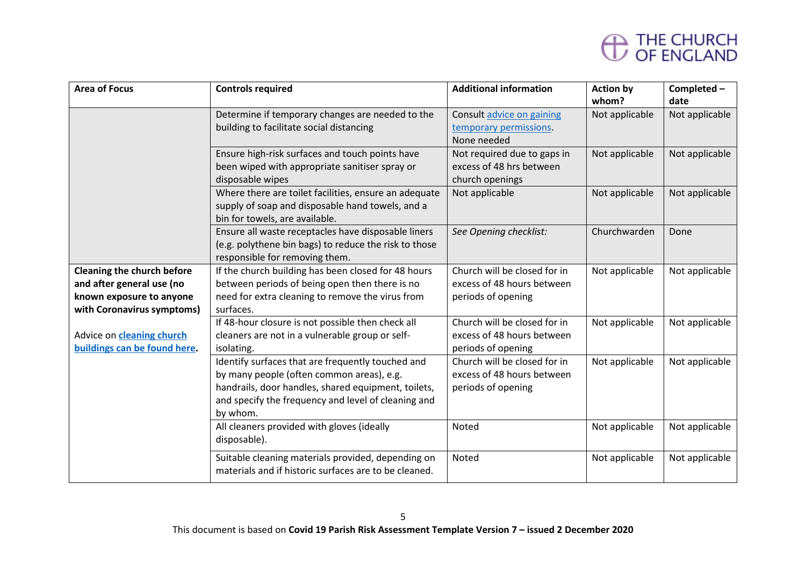| <b>Area of Focus</b>                                                                                                     | <b>Controls required</b>                                                                                                                                                                                                 | <b>Additional information</b>                                                    | <b>Action by</b><br>whom? | Completed-<br>date |
|--------------------------------------------------------------------------------------------------------------------------|--------------------------------------------------------------------------------------------------------------------------------------------------------------------------------------------------------------------------|----------------------------------------------------------------------------------|---------------------------|--------------------|
|                                                                                                                          | Determine if temporary changes are needed to the<br>building to facilitate social distancing                                                                                                                             | Consult advice on gaining<br>temporary permissions.<br>None needed               | Not applicable            | Not applicable     |
|                                                                                                                          | Ensure high-risk surfaces and touch points have<br>been wiped with appropriate sanitiser spray or<br>disposable wipes                                                                                                    | Not required due to gaps in<br>excess of 48 hrs between<br>church openings       | Not applicable            | Not applicable     |
|                                                                                                                          | Where there are toilet facilities, ensure an adequate<br>supply of soap and disposable hand towels, and a<br>bin for towels, are available.                                                                              | Not applicable                                                                   | Not applicable            | Not applicable     |
|                                                                                                                          | Ensure all waste receptacles have disposable liners<br>(e.g. polythene bin bags) to reduce the risk to those<br>responsible for removing them.                                                                           | See Opening checklist:                                                           | Churchwarden              | Done               |
| <b>Cleaning the church before</b><br>and after general use (no<br>known exposure to anyone<br>with Coronavirus symptoms) | If the church building has been closed for 48 hours<br>between periods of being open then there is no<br>need for extra cleaning to remove the virus from<br>surfaces.                                                   | Church will be closed for in<br>excess of 48 hours between<br>periods of opening | Not applicable            | Not applicable     |
| Advice on cleaning church<br>buildings can be found here.                                                                | If 48-hour closure is not possible then check all<br>cleaners are not in a vulnerable group or self-<br>isolating.                                                                                                       | Church will be closed for in<br>excess of 48 hours between<br>periods of opening | Not applicable            | Not applicable     |
|                                                                                                                          | Identify surfaces that are frequently touched and<br>by many people (often common areas), e.g.<br>handrails, door handles, shared equipment, toilets,<br>and specify the frequency and level of cleaning and<br>by whom. | Church will be closed for in<br>excess of 48 hours between<br>periods of opening | Not applicable            | Not applicable     |
|                                                                                                                          | All cleaners provided with gloves (ideally<br>disposable).                                                                                                                                                               | Noted                                                                            | Not applicable            | Not applicable     |
|                                                                                                                          | Suitable cleaning materials provided, depending on<br>materials and if historic surfaces are to be cleaned.                                                                                                              | Noted                                                                            | Not applicable            | Not applicable     |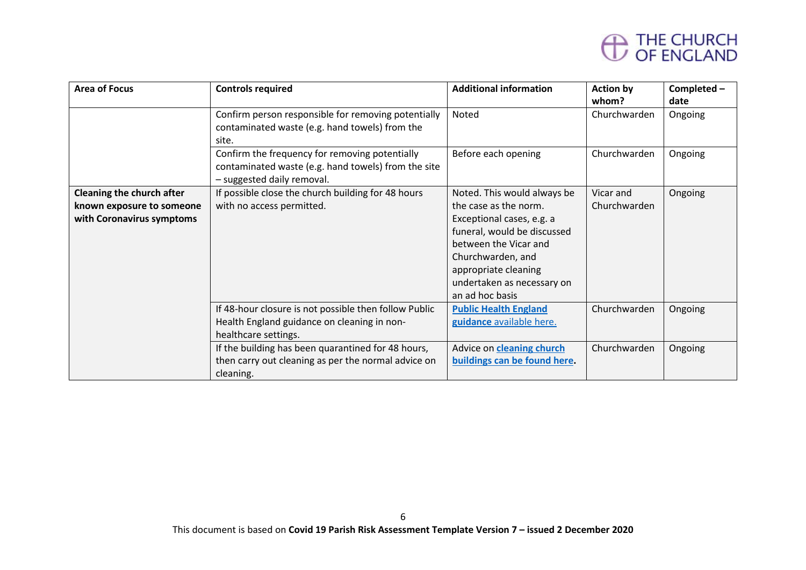| <b>Area of Focus</b>      | <b>Controls required</b>                              | <b>Additional information</b>    | <b>Action by</b> | Completed- |
|---------------------------|-------------------------------------------------------|----------------------------------|------------------|------------|
|                           |                                                       |                                  | whom?            | date       |
|                           | Confirm person responsible for removing potentially   | Noted                            | Churchwarden     | Ongoing    |
|                           | contaminated waste (e.g. hand towels) from the        |                                  |                  |            |
|                           | site.                                                 |                                  |                  |            |
|                           | Confirm the frequency for removing potentially        | Before each opening              | Churchwarden     | Ongoing    |
|                           | contaminated waste (e.g. hand towels) from the site   |                                  |                  |            |
|                           | - suggested daily removal.                            |                                  |                  |            |
| Cleaning the church after | If possible close the church building for 48 hours    | Noted. This would always be      | Vicar and        | Ongoing    |
| known exposure to someone | with no access permitted.                             | the case as the norm.            | Churchwarden     |            |
| with Coronavirus symptoms |                                                       | Exceptional cases, e.g. a        |                  |            |
|                           |                                                       | funeral, would be discussed      |                  |            |
|                           |                                                       | between the Vicar and            |                  |            |
|                           |                                                       | Churchwarden, and                |                  |            |
|                           |                                                       | appropriate cleaning             |                  |            |
|                           |                                                       | undertaken as necessary on       |                  |            |
|                           |                                                       | an ad hoc basis                  |                  |            |
|                           | If 48-hour closure is not possible then follow Public | <b>Public Health England</b>     | Churchwarden     | Ongoing    |
|                           | Health England guidance on cleaning in non-           | guidance available here.         |                  |            |
|                           | healthcare settings.                                  |                                  |                  |            |
|                           | If the building has been quarantined for 48 hours,    | Advice on <b>cleaning church</b> | Churchwarden     | Ongoing    |
|                           | then carry out cleaning as per the normal advice on   | buildings can be found here.     |                  |            |
|                           | cleaning.                                             |                                  |                  |            |